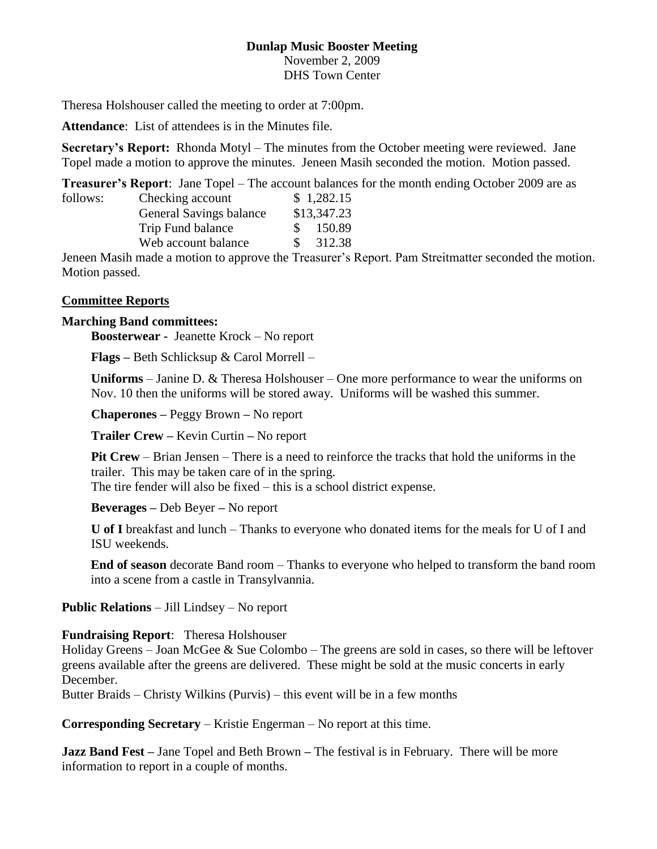# **Dunlap Music Booster Meeting**

November 2, 2009 DHS Town Center

Theresa Holshouser called the meeting to order at 7:00pm.

**Attendance**: List of attendees is in the Minutes file.

**Secretary's Report:** Rhonda Motyl – The minutes from the October meeting were reviewed. Jane Topel made a motion to approve the minutes. Jeneen Masih seconded the motion. Motion passed.

**Treasurer's Report**: Jane Topel – The account balances for the month ending October 2009 are as

| follows: | Checking account        |               | \$1,282.15  |
|----------|-------------------------|---------------|-------------|
|          | General Savings balance |               | \$13,347.23 |
|          | Trip Fund balance       | $\mathcal{S}$ | 150.89      |
|          | Web account balance     | <sup>S</sup>  | 312.38      |
|          |                         |               |             |

Jeneen Masih made a motion to approve the Treasurer's Report. Pam Streitmatter seconded the motion. Motion passed.

### **Committee Reports**

#### **Marching Band committees:**

**Boosterwear -** Jeanette Krock – No report

**Flags –** Beth Schlicksup & Carol Morrell –

**Uniforms** – Janine D. & Theresa Holshouser – One more performance to wear the uniforms on Nov. 10 then the uniforms will be stored away. Uniforms will be washed this summer.

**Chaperones –** Peggy Brown **–** No report

**Trailer Crew –** Kevin Curtin **–** No report

**Pit Crew** – Brian Jensen – There is a need to reinforce the tracks that hold the uniforms in the trailer. This may be taken care of in the spring.

The tire fender will also be fixed – this is a school district expense.

**Beverages –** Deb Beyer **–** No report

**U of I** breakfast and lunch – Thanks to everyone who donated items for the meals for U of I and ISU weekends.

**End of season** decorate Band room – Thanks to everyone who helped to transform the band room into a scene from a castle in Transylvannia.

**Public Relations** – Jill Lindsey – No report

### **Fundraising Report**: Theresa Holshouser

Holiday Greens – Joan McGee & Sue Colombo – The greens are sold in cases, so there will be leftover greens available after the greens are delivered. These might be sold at the music concerts in early December.

Butter Braids – Christy Wilkins (Purvis) – this event will be in a few months

**Corresponding Secretary** – Kristie Engerman – No report at this time.

**Jazz Band Fest –** Jane Topel and Beth Brown **–** The festival is in February. There will be more information to report in a couple of months.